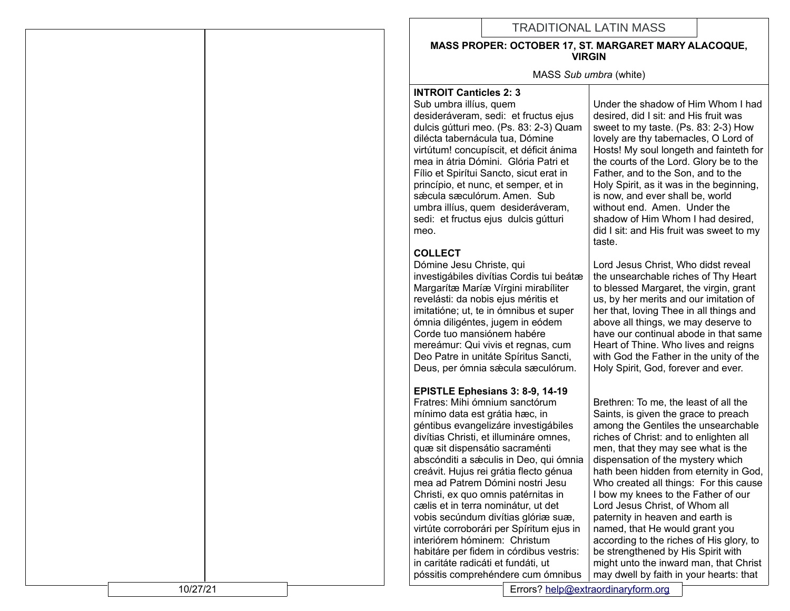# TRADITIONAL LATIN MASS

#### **MASS PROPER: OCTOBER 17, ST. MARGARET MARY ALACOQUE, VIRGIN**

MASS *Sub umbra* (white)

#### **INTROIT Canticles 2: 3**

Sub umbra illíus, quem desideráveram, sedi: et fructus ejus dulcis gútturi meo. (Ps. 83: 2-3) Quam dilécta tabernácula tua, Dómine virtútum! concupíscit, et déficit ánima mea in átria Dómini. Glória Patri et Fílio et Spirítui Sancto, sicut erat in princípio, et nunc, et semper, et in sǽcula sæculórum. Amen. Sub umbra illíus, quem desideráveram, sedi: et fructus ejus dulcis gútturi meo.

# **COLLECT**

Dómine Jesu Christe, qui investigábiles divítias Cordis tui beátæ Margarítæ Maríæ Vírgini mirabíliter revelásti: da nobis ejus méritis et imitatióne; ut, te in ómnibus et super ómnia diligéntes, jugem in eódem Corde tuo mansiónem habére mereámur: Qui vivis et regnas, cum Deo Patre in unitáte Spíritus Sancti, Deus, per ómnia sǽcula sæculórum.

# **EPISTLE Ephesians 3: 8-9, 14-19**

Fratres: Mihi ómnium sanctórum mínimo data est grátia hæc, in géntibus evangelizáre investigábiles divítias Christi, et illumináre omnes, quæ sit dispensátio sacraménti abscónditi a sæculis in Deo, qui ómnia creávit. Hujus rei grátia flecto génua mea ad Patrem Dómini nostri Jesu Christi, ex quo omnis patérnitas in cælis et in terra nominátur, ut det vobis secúndum divítias glóriæ suæ, virtúte corroborári per Spíritum ejus in interiórem hóminem: Christum habitáre per fidem in córdibus vestris: in caritáte radicáti et fundáti, ut póssitis comprehéndere cum ómnibus

Under the shadow of Him Whom I had desired, did I sit: and His fruit was sweet to my taste. (Ps. 83: 2-3) How lovely are thy tabernacles, O Lord of Hosts! My soul longeth and fainteth for the courts of the Lord. Glory be to the Father, and to the Son, and to the Holy Spirit, as it was in the beginning, is now, and ever shall be, world without end. Amen. Under the shadow of Him Whom I had desired, did I sit: and His fruit was sweet to my taste.

Lord Jesus Christ, Who didst reveal the unsearchable riches of Thy Heart to blessed Margaret, the virgin, grant us, by her merits and our imitation of her that, loving Thee in all things and above all things, we may deserve to have our continual abode in that same Heart of Thine. Who lives and reigns with God the Father in the unity of the Holy Spirit, God, forever and ever.

Brethren: To me, the least of all the Saints, is given the grace to preach among the Gentiles the unsearchable riches of Christ: and to enlighten all men, that they may see what is the dispensation of the mystery which hath been hidden from eternity in God, Who created all things: For this cause I bow my knees to the Father of our Lord Jesus Christ, of Whom all paternity in heaven and earth is named, that He would grant you according to the riches of His glory, to be strengthened by His Spirit with might unto the inward man, that Christ may dwell by faith in your hearts: that